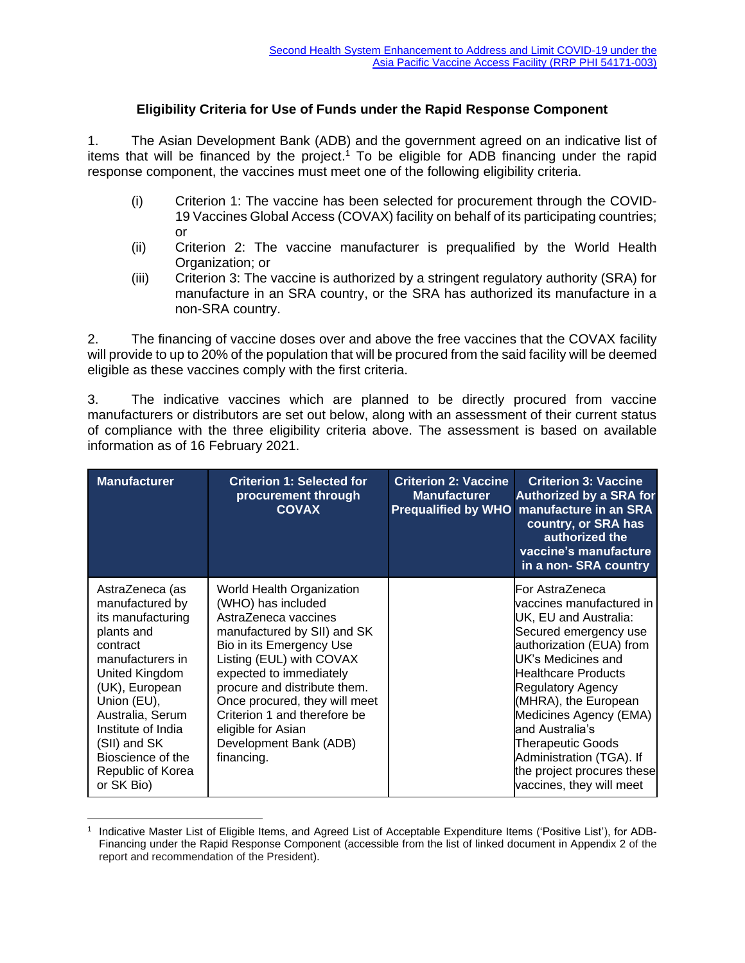## **Eligibility Criteria for Use of Funds under the Rapid Response Component**

1. The Asian Development Bank (ADB) and the government agreed on an indicative list of items that will be financed by the project. <sup>1</sup> To be eligible for ADB financing under the rapid response component, the vaccines must meet one of the following eligibility criteria.

- (i) Criterion 1: The vaccine has been selected for procurement through the COVID-19 Vaccines Global Access (COVAX) facility on behalf of its participating countries; or
- (ii) Criterion 2: The vaccine manufacturer is prequalified by the World Health Organization; or
- (iii) Criterion 3: The vaccine is authorized by a stringent regulatory authority (SRA) for manufacture in an SRA country, or the SRA has authorized its manufacture in a non-SRA country.

2. The financing of vaccine doses over and above the free vaccines that the COVAX facility will provide to up to 20% of the population that will be procured from the said facility will be deemed eligible as these vaccines comply with the first criteria.

3. The indicative vaccines which are planned to be directly procured from vaccine manufacturers or distributors are set out below, along with an assessment of their current status of compliance with the three eligibility criteria above. The assessment is based on available information as of 16 February 2021.

| <b>Manufacturer</b>                                                                                                                                                                                                                                                        | <b>Criterion 1: Selected for</b><br>procurement through<br><b>COVAX</b>                                                                                                                                                                                                                                                                                  | <b>Criterion 2: Vaccine</b><br><b>Manufacturer</b><br><b>Prequalified by WHO</b> | <b>Criterion 3: Vaccine</b><br><b>Authorized by a SRA for</b><br>manufacture in an SRA<br>country, or SRA has<br>authorized the<br>vaccine's manufacture<br>in a non-SRA country                                                                                                                                                                                                          |
|----------------------------------------------------------------------------------------------------------------------------------------------------------------------------------------------------------------------------------------------------------------------------|----------------------------------------------------------------------------------------------------------------------------------------------------------------------------------------------------------------------------------------------------------------------------------------------------------------------------------------------------------|----------------------------------------------------------------------------------|-------------------------------------------------------------------------------------------------------------------------------------------------------------------------------------------------------------------------------------------------------------------------------------------------------------------------------------------------------------------------------------------|
| AstraZeneca (as<br>manufactured by<br>its manufacturing<br>plants and<br>contract<br>manufacturers in<br>United Kingdom<br>(UK), European<br>Union (EU),<br>Australia, Serum<br>Institute of India<br>(SII) and SK<br>Bioscience of the<br>Republic of Korea<br>or SK Bio) | World Health Organization<br>(WHO) has included<br>AstraZeneca vaccines<br>manufactured by SII) and SK<br>Bio in its Emergency Use<br>Listing (EUL) with COVAX<br>expected to immediately<br>procure and distribute them.<br>Once procured, they will meet<br>Criterion 1 and therefore be<br>eligible for Asian<br>Development Bank (ADB)<br>financing. |                                                                                  | For AstraZeneca<br>vaccines manufactured in<br>UK, EU and Australia:<br>Secured emergency use<br>authorization (EUA) from<br>UK's Medicines and<br><b>Healthcare Products</b><br><b>Regulatory Agency</b><br>(MHRA), the European<br>Medicines Agency (EMA)<br>and Australia's<br>Therapeutic Goods<br>Administration (TGA). If<br>the project procures these<br>vaccines, they will meet |

<sup>1</sup> Indicative Master List of Eligible Items, and Agreed List of Acceptable Expenditure Items ('Positive List'), for ADB-Financing under the Rapid Response Component (accessible from the list of linked document in Appendix 2 of the report and recommendation of the President).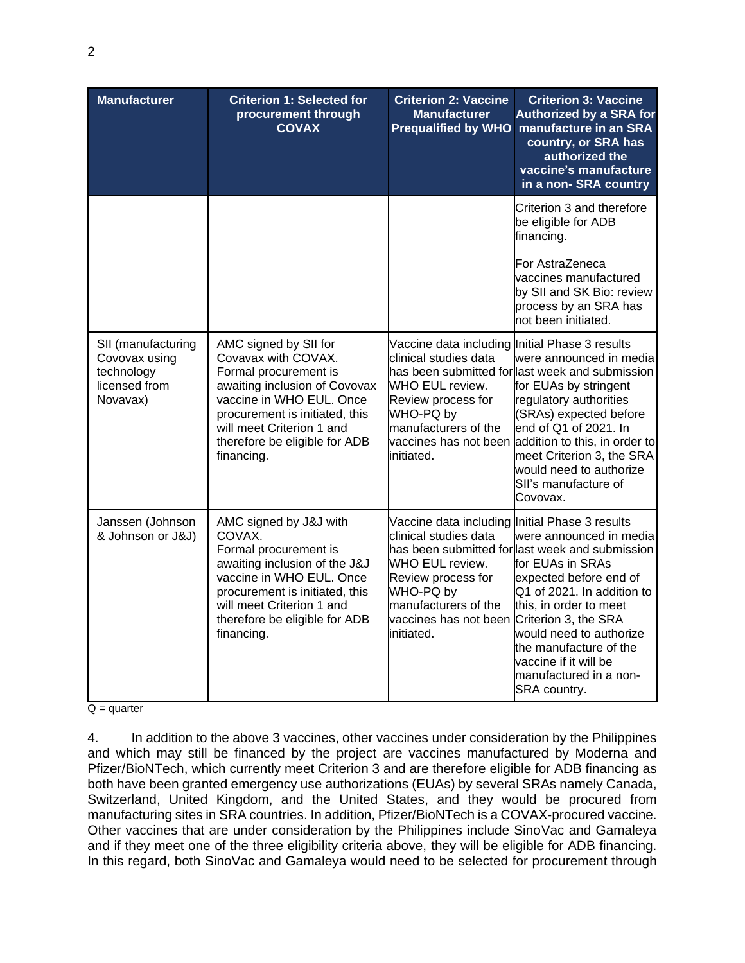| <b>Manufacturer</b>                                                            | <b>Criterion 1: Selected for</b><br>procurement through<br><b>COVAX</b>                                                                                                                                                                          | <b>Criterion 2: Vaccine</b><br><b>Manufacturer</b><br><b>Prequalified by WHO</b>                                                                                                                                  | <b>Criterion 3: Vaccine</b><br><b>Authorized by a SRA for</b><br>manufacture in an SRA<br>country, or SRA has<br>authorized the<br>vaccine's manufacture<br>in a non-SRA country                                                                                                                                                    |
|--------------------------------------------------------------------------------|--------------------------------------------------------------------------------------------------------------------------------------------------------------------------------------------------------------------------------------------------|-------------------------------------------------------------------------------------------------------------------------------------------------------------------------------------------------------------------|-------------------------------------------------------------------------------------------------------------------------------------------------------------------------------------------------------------------------------------------------------------------------------------------------------------------------------------|
|                                                                                |                                                                                                                                                                                                                                                  |                                                                                                                                                                                                                   | Criterion 3 and therefore<br>be eligible for ADB<br>financing.                                                                                                                                                                                                                                                                      |
|                                                                                |                                                                                                                                                                                                                                                  |                                                                                                                                                                                                                   | For AstraZeneca<br>vaccines manufactured<br>by SII and SK Bio: review<br>process by an SRA has<br>not been initiated.                                                                                                                                                                                                               |
| SII (manufacturing<br>Covovax using<br>technology<br>licensed from<br>Novavax) | AMC signed by SII for<br>Covavax with COVAX.<br>Formal procurement is<br>awaiting inclusion of Covovax<br>vaccine in WHO EUL. Once<br>procurement is initiated, this<br>will meet Criterion 1 and<br>therefore be eligible for ADB<br>financing. | Vaccine data including Initial Phase 3 results<br>clinical studies data<br>WHO EUL review.<br>Review process for<br>WHO-PQ by<br>manufacturers of the<br>initiated.                                               | were announced in media<br>has been submitted for last week and submission<br>for EUAs by stringent<br>regulatory authorities<br>(SRAs) expected before<br>end of Q1 of 2021. In<br>vaccines has not been addition to this, in order to<br>meet Criterion 3, the SRA<br>would need to authorize<br>SII's manufacture of<br>Covovax. |
| Janssen (Johnson<br>& Johnson or J&J)                                          | AMC signed by J&J with<br>COVAX.<br>Formal procurement is<br>awaiting inclusion of the J&J<br>vaccine in WHO EUL. Once<br>procurement is initiated, this<br>will meet Criterion 1 and<br>therefore be eligible for ADB<br>financing.             | Vaccine data including Initial Phase 3 results<br>clinical studies data<br>WHO EUL review.<br>Review process for<br>WHO-PQ by<br>manufacturers of the<br>vaccines has not been Criterion 3, the SRA<br>initiated. | were announced in media<br>has been submitted for last week and submission<br>for EUAs in SRAs<br>expected before end of<br>Q1 of 2021. In addition to<br>this, in order to meet<br>would need to authorize<br>the manufacture of the<br>vaccine if it will be<br>manufactured in a non-<br>SRA country.                            |

 $Q =$  quarter

4. In addition to the above 3 vaccines, other vaccines under consideration by the Philippines and which may still be financed by the project are vaccines manufactured by Moderna and Pfizer/BioNTech, which currently meet Criterion 3 and are therefore eligible for ADB financing as both have been granted emergency use authorizations (EUAs) by several SRAs namely Canada, Switzerland, United Kingdom, and the United States, and they would be procured from manufacturing sites in SRA countries. In addition, Pfizer/BioNTech is a COVAX-procured vaccine. Other vaccines that are under consideration by the Philippines include SinoVac and Gamaleya and if they meet one of the three eligibility criteria above, they will be eligible for ADB financing. In this regard, both SinoVac and Gamaleya would need to be selected for procurement through